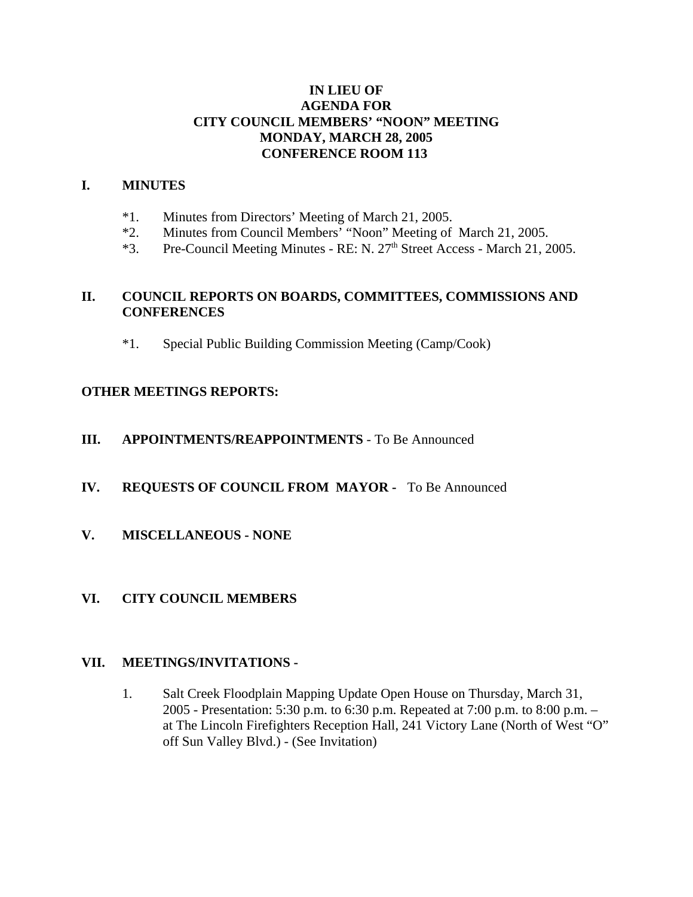### **IN LIEU OF AGENDA FOR CITY COUNCIL MEMBERS' "NOON" MEETING MONDAY, MARCH 28, 2005 CONFERENCE ROOM 113**

#### **I. MINUTES**

- \*1. Minutes from Directors' Meeting of March 21, 2005.
- \*2. Minutes from Council Members' "Noon" Meeting of March 21, 2005.
- \*3. Pre-Council Meeting Minutes RE: N. 27<sup>th</sup> Street Access March 21, 2005.

### **II. COUNCIL REPORTS ON BOARDS, COMMITTEES, COMMISSIONS AND CONFERENCES**

\*1. Special Public Building Commission Meeting (Camp/Cook)

# **OTHER MEETINGS REPORTS:**

#### **III. APPOINTMENTS/REAPPOINTMENTS** - To Be Announced

# **IV. REQUESTS OF COUNCIL FROM MAYOR -** To Be Announced

**V. MISCELLANEOUS - NONE**

# **VI. CITY COUNCIL MEMBERS**

#### **VII. MEETINGS/INVITATIONS -**

1. Salt Creek Floodplain Mapping Update Open House on Thursday, March 31, 2005 - Presentation: 5:30 p.m. to 6:30 p.m. Repeated at 7:00 p.m. to 8:00 p.m. – at The Lincoln Firefighters Reception Hall, 241 Victory Lane (North of West "O" off Sun Valley Blvd.) - (See Invitation)